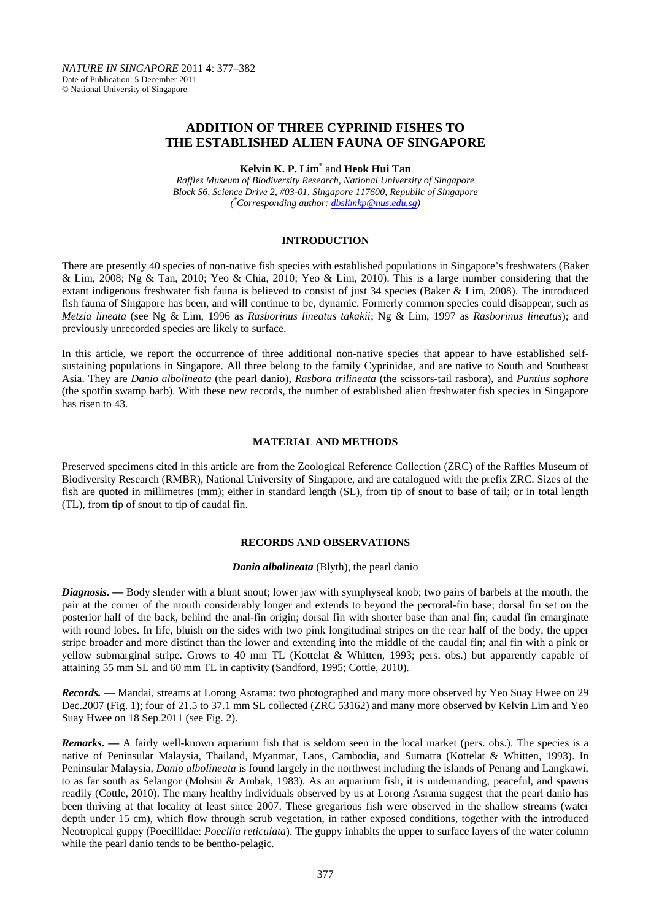*NATURE IN SINGAPORE* 2011 **4**: 377–382 Date of Publication: 5 December 2011 © National University of Singapore

# **ADDITION OF THREE CYPRINID FISHES TO THE ESTABLISHED ALIEN FAUNA OF SINGAPORE**

#### **Kelvin K. P. Lim\*** and **Heok Hui Tan**

*Raffles Museum of Biodiversity Research, National University of Singapore Block S6, Science Drive 2, #03-01, Singapore 117600, Republic of Singapore ( \* Corresponding author: [dbslimkp@nus.edu.sg\)](mailto:dbslimkp@nus.edu.sg)*

#### **INTRODUCTION**

There are presently 40 species of non-native fish species with established populations in Singapore's freshwaters (Baker & Lim, 2008; Ng & Tan, 2010; Yeo & Chia, 2010; Yeo & Lim, 2010). This is a large number considering that the extant indigenous freshwater fish fauna is believed to consist of just 34 species (Baker & Lim, 2008). The introduced fish fauna of Singapore has been, and will continue to be, dynamic. Formerly common species could disappear, such as *Metzia lineata* (see Ng & Lim, 1996 as *Rasborinus lineatus takakii*; Ng & Lim, 1997 as *Rasborinus lineatus*); and previously unrecorded species are likely to surface.

In this article, we report the occurrence of three additional non-native species that appear to have established selfsustaining populations in Singapore. All three belong to the family Cyprinidae, and are native to South and Southeast Asia. They are *Danio albolineata* (the pearl danio), *Rasbora trilineata* (the scissors-tail rasbora), and *Puntius sophore* (the spotfin swamp barb). With these new records, the number of established alien freshwater fish species in Singapore has risen to 43.

#### **MATERIAL AND METHODS**

Preserved specimens cited in this article are from the Zoological Reference Collection (ZRC) of the Raffles Museum of Biodiversity Research (RMBR), National University of Singapore, and are catalogued with the prefix ZRC. Sizes of the fish are quoted in millimetres (mm); either in standard length (SL), from tip of snout to base of tail; or in total length (TL), from tip of snout to tip of caudal fin.

# **RECORDS AND OBSERVATIONS**

#### *Danio albolineata* (Blyth), the pearl danio

*Diagnosis.* **—** Body slender with a blunt snout; lower jaw with symphyseal knob; two pairs of barbels at the mouth, the pair at the corner of the mouth considerably longer and extends to beyond the pectoral-fin base; dorsal fin set on the posterior half of the back, behind the anal-fin origin; dorsal fin with shorter base than anal fin; caudal fin emarginate with round lobes. In life, bluish on the sides with two pink longitudinal stripes on the rear half of the body, the upper stripe broader and more distinct than the lower and extending into the middle of the caudal fin; anal fin with a pink or yellow submarginal stripe. Grows to 40 mm TL (Kottelat & Whitten, 1993; pers. obs.) but apparently capable of attaining 55 mm SL and 60 mm TL in captivity (Sandford, 1995; Cottle, 2010).

*Records. —* Mandai, streams at Lorong Asrama: two photographed and many more observed by Yeo Suay Hwee on 29 Dec.2007 (Fig. 1); four of 21.5 to 37.1 mm SL collected (ZRC 53162) and many more observed by Kelvin Lim and Yeo Suay Hwee on 18 Sep.2011 (see Fig. 2).

*Remarks.* — A fairly well-known aquarium fish that is seldom seen in the local market (pers. obs.). The species is a native of Peninsular Malaysia, Thailand, Myanmar, Laos, Cambodia, and Sumatra (Kottelat & Whitten, 1993). In Peninsular Malaysia, *Danio albolineata* is found largely in the northwest including the islands of Penang and Langkawi, to as far south as Selangor (Mohsin & Ambak, 1983). As an aquarium fish, it is undemanding, peaceful, and spawns readily (Cottle, 2010). The many healthy individuals observed by us at Lorong Asrama suggest that the pearl danio has been thriving at that locality at least since 2007. These gregarious fish were observed in the shallow streams (water depth under 15 cm), which flow through scrub vegetation, in rather exposed conditions, together with the introduced Neotropical guppy (Poeciliidae: *Poecilia reticulata*). The guppy inhabits the upper to surface layers of the water column while the pearl danio tends to be bentho-pelagic.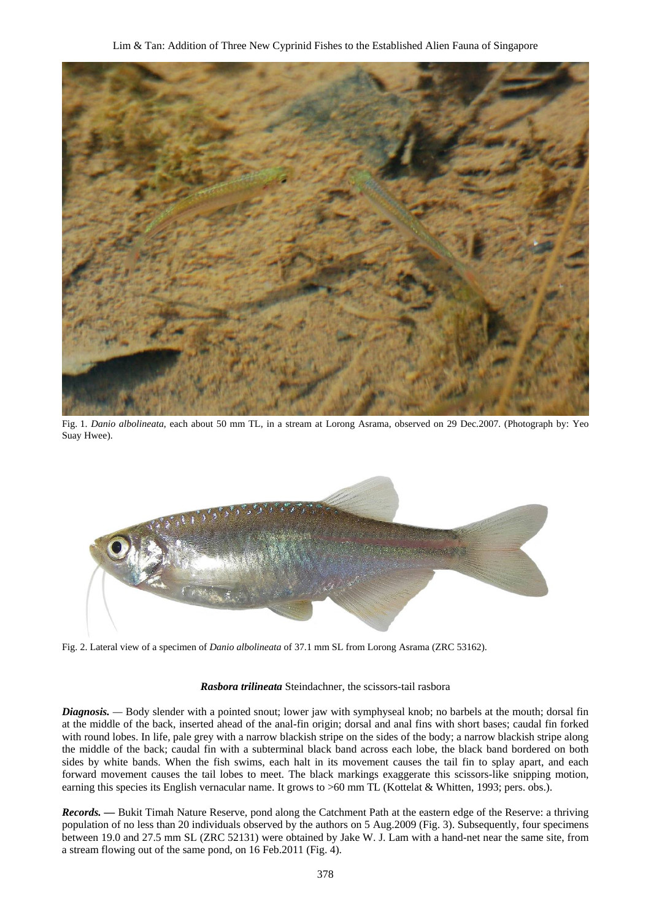

Fig. 1. *Danio albolineata*, each about 50 mm TL, in a stream at Lorong Asrama, observed on 29 Dec.2007. (Photograph by: Yeo Suay Hwee).



Fig. 2. Lateral view of a specimen of *Danio albolineata* of 37.1 mm SL from Lorong Asrama (ZRC 53162).

#### *Rasbora trilineata* Steindachner, the scissors-tail rasbora

*Diagnosis.* — Body slender with a pointed snout; lower jaw with symphyseal knob; no barbels at the mouth; dorsal fin at the middle of the back, inserted ahead of the anal-fin origin; dorsal and anal fins with short bases; caudal fin forked with round lobes. In life, pale grey with a narrow blackish stripe on the sides of the body; a narrow blackish stripe along the middle of the back; caudal fin with a subterminal black band across each lobe, the black band bordered on both sides by white bands. When the fish swims, each halt in its movement causes the tail fin to splay apart, and each forward movement causes the tail lobes to meet. The black markings exaggerate this scissors-like snipping motion, earning this species its English vernacular name. It grows to >60 mm TL (Kottelat & Whitten, 1993; pers. obs.).

*Records. —* Bukit Timah Nature Reserve, pond along the Catchment Path at the eastern edge of the Reserve: a thriving population of no less than 20 individuals observed by the authors on 5 Aug.2009 (Fig. 3). Subsequently, four specimens between 19.0 and 27.5 mm SL (ZRC 52131) were obtained by Jake W. J. Lam with a hand-net near the same site, from a stream flowing out of the same pond, on 16 Feb.2011 (Fig. 4).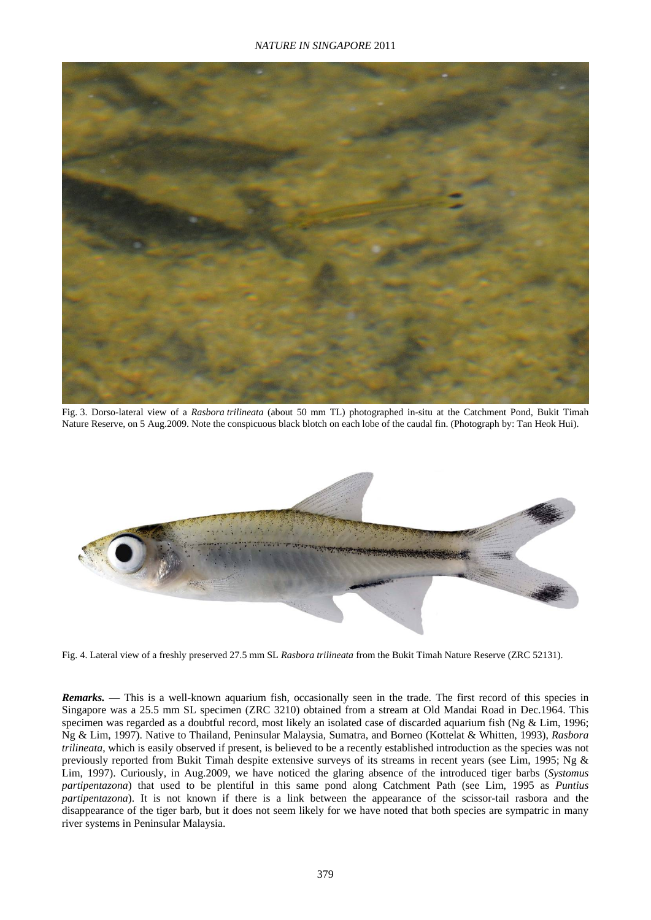

Fig. 3. Dorso-lateral view of a *Rasbora trilineata* (about 50 mm TL) photographed in-situ at the Catchment Pond, Bukit Timah Nature Reserve, on 5 Aug.2009. Note the conspicuous black blotch on each lobe of the caudal fin. (Photograph by: Tan Heok Hui).



Fig. 4. Lateral view of a freshly preserved 27.5 mm SL *Rasbora trilineata* from the Bukit Timah Nature Reserve (ZRC 52131).

*Remarks.* — This is a well-known aquarium fish, occasionally seen in the trade. The first record of this species in Singapore was a 25.5 mm SL specimen (ZRC 3210) obtained from a stream at Old Mandai Road in Dec.1964. This specimen was regarded as a doubtful record, most likely an isolated case of discarded aquarium fish (Ng & Lim, 1996; Ng & Lim, 1997). Native to Thailand, Peninsular Malaysia, Sumatra, and Borneo (Kottelat & Whitten, 1993), *Rasbora trilineata*, which is easily observed if present, is believed to be a recently established introduction as the species was not previously reported from Bukit Timah despite extensive surveys of its streams in recent years (see Lim, 1995; Ng & Lim, 1997). Curiously, in Aug.2009, we have noticed the glaring absence of the introduced tiger barbs (*Systomus partipentazona*) that used to be plentiful in this same pond along Catchment Path (see Lim, 1995 as *Puntius partipentazona*). It is not known if there is a link between the appearance of the scissor-tail rasbora and the disappearance of the tiger barb, but it does not seem likely for we have noted that both species are sympatric in many river systems in Peninsular Malaysia.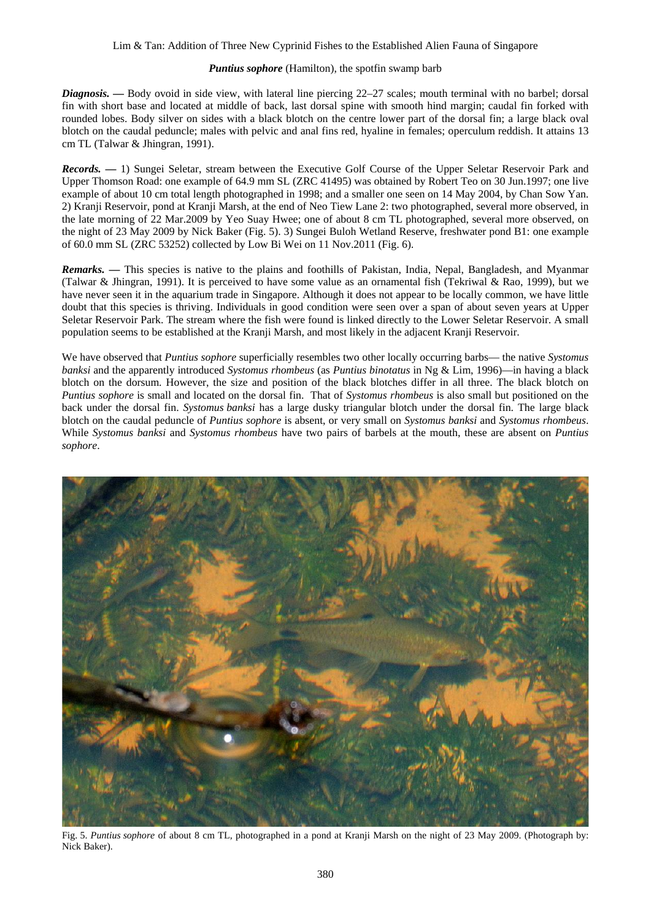### Lim & Tan: Addition of Three New Cyprinid Fishes to the Established Alien Fauna of Singapore

#### *Puntius sophore* (Hamilton), the spotfin swamp barb

*Diagnosis. —* Body ovoid in side view, with lateral line piercing 22–27 scales; mouth terminal with no barbel; dorsal fin with short base and located at middle of back, last dorsal spine with smooth hind margin; caudal fin forked with rounded lobes. Body silver on sides with a black blotch on the centre lower part of the dorsal fin; a large black oval blotch on the caudal peduncle; males with pelvic and anal fins red, hyaline in females; operculum reddish. It attains 13 cm TL (Talwar & Jhingran, 1991).

*Records. —* 1) Sungei Seletar, stream between the Executive Golf Course of the Upper Seletar Reservoir Park and Upper Thomson Road: one example of 64.9 mm SL (ZRC 41495) was obtained by Robert Teo on 30 Jun.1997; one live example of about 10 cm total length photographed in 1998; and a smaller one seen on 14 May 2004, by Chan Sow Yan. 2) Kranji Reservoir, pond at Kranji Marsh, at the end of Neo Tiew Lane 2: two photographed, several more observed, in the late morning of 22 Mar.2009 by Yeo Suay Hwee; one of about 8 cm TL photographed, several more observed, on the night of 23 May 2009 by Nick Baker (Fig. 5). 3) Sungei Buloh Wetland Reserve, freshwater pond B1: one example of 60.0 mm SL (ZRC 53252) collected by Low Bi Wei on 11 Nov.2011 (Fig. 6).

*Remarks. —* This species is native to the plains and foothills of Pakistan, India, Nepal, Bangladesh, and Myanmar (Talwar & Jhingran, 1991). It is perceived to have some value as an ornamental fish (Tekriwal & Rao, 1999), but we have never seen it in the aquarium trade in Singapore. Although it does not appear to be locally common, we have little doubt that this species is thriving. Individuals in good condition were seen over a span of about seven years at Upper Seletar Reservoir Park. The stream where the fish were found is linked directly to the Lower Seletar Reservoir. A small population seems to be established at the Kranji Marsh, and most likely in the adjacent Kranji Reservoir.

We have observed that *Puntius sophore* superficially resembles two other locally occurring barbs— the native *Systomus banksi* and the apparently introduced *Systomus rhombeus* (as *Puntius binotatus* in Ng & Lim, 1996)—in having a black blotch on the dorsum. However, the size and position of the black blotches differ in all three. The black blotch on *Puntius sophore* is small and located on the dorsal fin. That of *Systomus rhombeus* is also small but positioned on the back under the dorsal fin. *Systomus banksi* has a large dusky triangular blotch under the dorsal fin. The large black blotch on the caudal peduncle of *Puntius sophore* is absent, or very small on *Systomus banksi* and *Systomus rhombeus*. While *Systomus banksi* and *Systomus rhombeus* have two pairs of barbels at the mouth, these are absent on *Puntius sophore*.



Fig. 5. *Puntius sophore* of about 8 cm TL, photographed in a pond at Kranji Marsh on the night of 23 May 2009. (Photograph by: Nick Baker).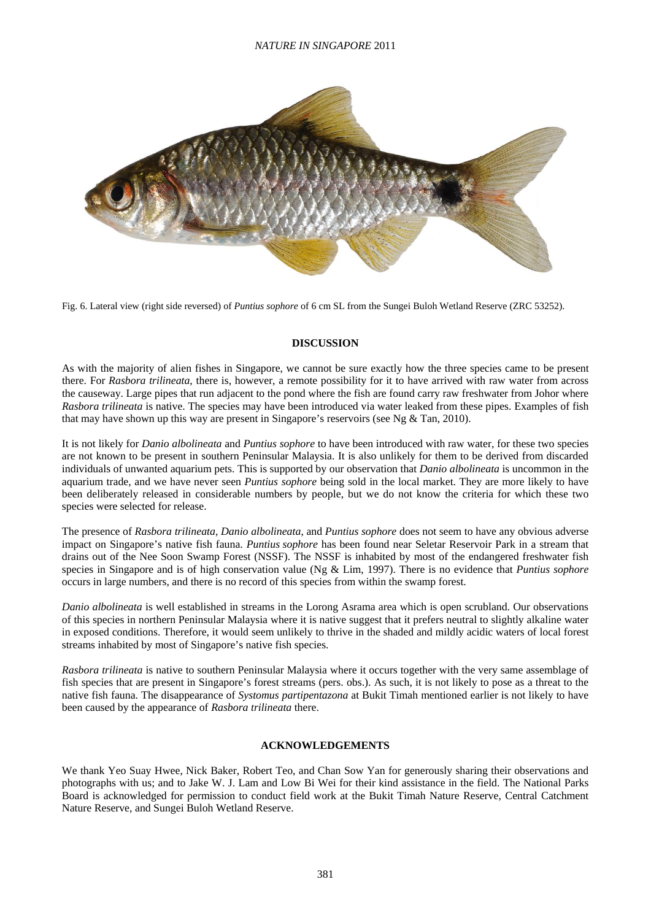### *NATURE IN SINGAPORE* 2011



Fig. 6. Lateral view (right side reversed) of *Puntius sophore* of 6 cm SL from the Sungei Buloh Wetland Reserve (ZRC 53252).

#### **DISCUSSION**

As with the majority of alien fishes in Singapore, we cannot be sure exactly how the three species came to be present there. For *Rasbora trilineata*, there is, however, a remote possibility for it to have arrived with raw water from across the causeway. Large pipes that run adjacent to the pond where the fish are found carry raw freshwater from Johor where *Rasbora trilineata* is native. The species may have been introduced via water leaked from these pipes. Examples of fish that may have shown up this way are present in Singapore's reservoirs (see Ng & Tan, 2010).

It is not likely for *Danio albolineata* and *Puntius sophore* to have been introduced with raw water, for these two species are not known to be present in southern Peninsular Malaysia. It is also unlikely for them to be derived from discarded individuals of unwanted aquarium pets. This is supported by our observation that *Danio albolineata* is uncommon in the aquarium trade, and we have never seen *Puntius sophore* being sold in the local market. They are more likely to have been deliberately released in considerable numbers by people, but we do not know the criteria for which these two species were selected for release.

The presence of *Rasbora trilineata*, *Danio albolineata*, and *Puntius sophore* does not seem to have any obvious adverse impact on Singapore's native fish fauna. *Puntius sophore* has been found near Seletar Reservoir Park in a stream that drains out of the Nee Soon Swamp Forest (NSSF). The NSSF is inhabited by most of the endangered freshwater fish species in Singapore and is of high conservation value (Ng & Lim, 1997). There is no evidence that *Puntius sophore* occurs in large numbers, and there is no record of this species from within the swamp forest.

*Danio albolineata* is well established in streams in the Lorong Asrama area which is open scrubland. Our observations of this species in northern Peninsular Malaysia where it is native suggest that it prefers neutral to slightly alkaline water in exposed conditions. Therefore, it would seem unlikely to thrive in the shaded and mildly acidic waters of local forest streams inhabited by most of Singapore's native fish species.

*Rasbora trilineata* is native to southern Peninsular Malaysia where it occurs together with the very same assemblage of fish species that are present in Singapore's forest streams (pers. obs.). As such, it is not likely to pose as a threat to the native fish fauna. The disappearance of *Systomus partipentazona* at Bukit Timah mentioned earlier is not likely to have been caused by the appearance of *Rasbora trilineata* there.

# **ACKNOWLEDGEMENTS**

We thank Yeo Suay Hwee, Nick Baker, Robert Teo, and Chan Sow Yan for generously sharing their observations and photographs with us; and to Jake W. J. Lam and Low Bi Wei for their kind assistance in the field. The National Parks Board is acknowledged for permission to conduct field work at the Bukit Timah Nature Reserve, Central Catchment Nature Reserve, and Sungei Buloh Wetland Reserve.